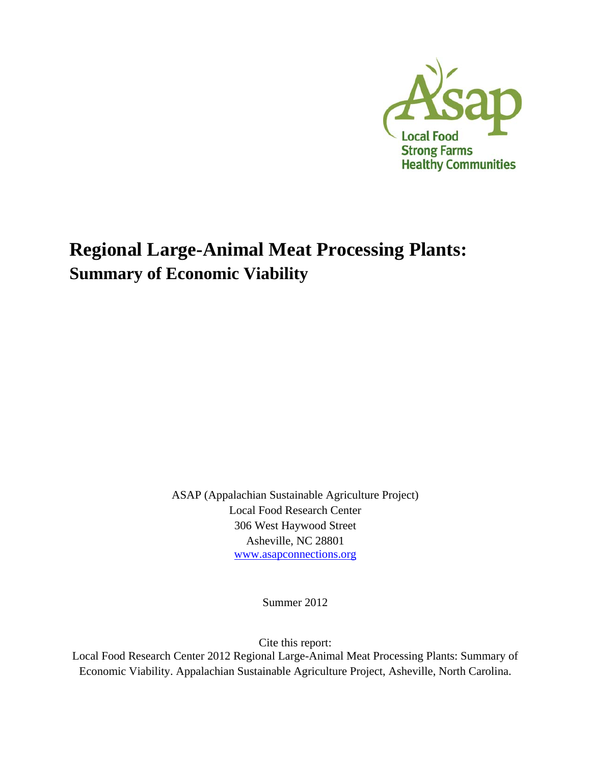

## **Regional Large-Animal Meat Processing Plants: Summary of Economic Viability**

ASAP (Appalachian Sustainable Agriculture Project) Local Food Research Center 306 West Haywood Street Asheville, NC 28801 www.asapconnections.org

Summer 2012

Cite this report:

Local Food Research Center 2012 Regional Large-Animal Meat Processing Plants: Summary of Economic Viability. Appalachian Sustainable Agriculture Project, Asheville, North Carolina.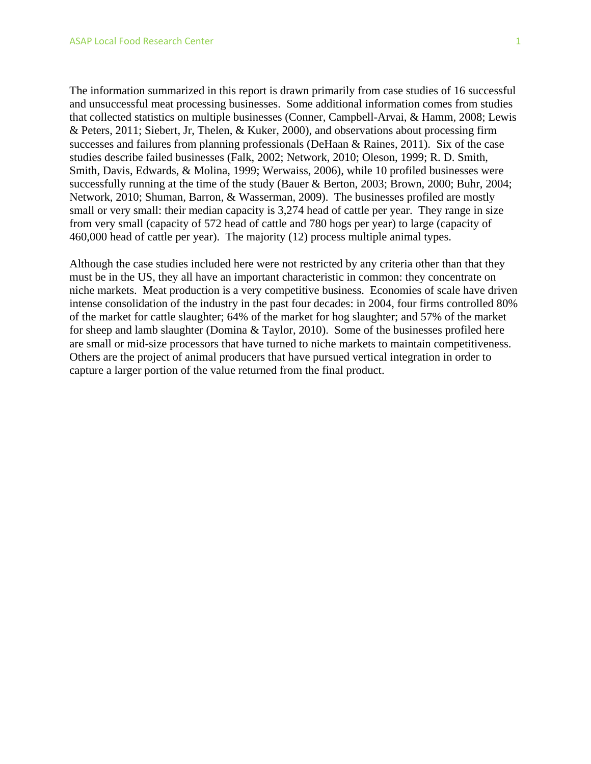The information summarized in this report is drawn primarily from case studies of 16 successful and unsuccessful meat processing businesses. Some additional information comes from studies that collected statistics on multiple businesses (Conner, Campbell-Arvai, & Hamm, 2008; Lewis & Peters, 2011; Siebert, Jr, Thelen, & Kuker, 2000), and observations about processing firm successes and failures from planning professionals (DeHaan & Raines, 2011). Six of the case studies describe failed businesses (Falk, 2002; Network, 2010; Oleson, 1999; R. D. Smith, Smith, Davis, Edwards, & Molina, 1999; Werwaiss, 2006), while 10 profiled businesses were successfully running at the time of the study (Bauer & Berton, 2003; Brown, 2000; Buhr, 2004; Network, 2010; Shuman, Barron, & Wasserman, 2009). The businesses profiled are mostly small or very small: their median capacity is 3,274 head of cattle per year. They range in size from very small (capacity of 572 head of cattle and 780 hogs per year) to large (capacity of 460,000 head of cattle per year). The majority (12) process multiple animal types.

Although the case studies included here were not restricted by any criteria other than that they must be in the US, they all have an important characteristic in common: they concentrate on niche markets. Meat production is a very competitive business. Economies of scale have driven intense consolidation of the industry in the past four decades: in 2004, four firms controlled 80% of the market for cattle slaughter; 64% of the market for hog slaughter; and 57% of the market for sheep and lamb slaughter (Domina & Taylor, 2010). Some of the businesses profiled here are small or mid-size processors that have turned to niche markets to maintain competitiveness. Others are the project of animal producers that have pursued vertical integration in order to capture a larger portion of the value returned from the final product.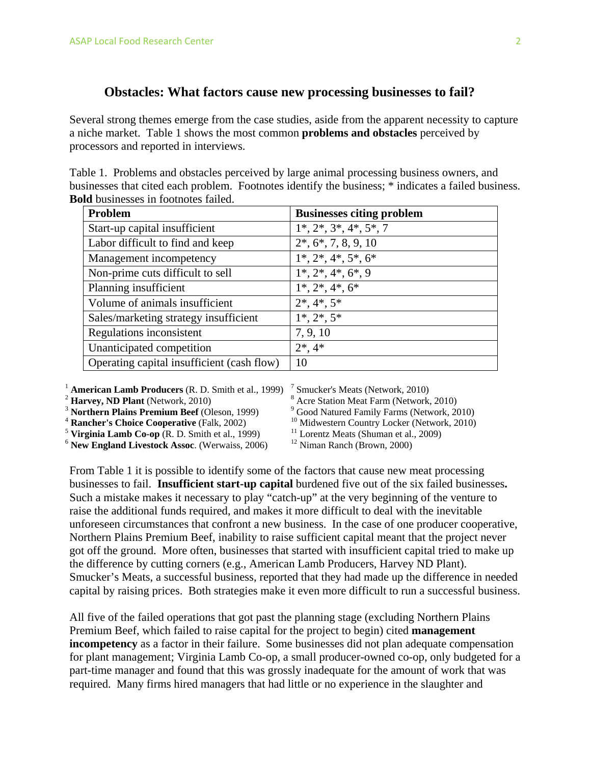## **Obstacles: What factors cause new processing businesses to fail?**

Several strong themes emerge from the case studies, aside from the apparent necessity to capture a niche market. Table 1 shows the most common **problems and obstacles** perceived by processors and reported in interviews.

| Table 1. Problems and obstacles perceived by large animal processing business owners, and           |
|-----------------------------------------------------------------------------------------------------|
| businesses that cited each problem. Footnotes identify the business; * indicates a failed business. |
| <b>Bold</b> businesses in footnotes failed.                                                         |

| Problem                                    | <b>Businesses citing problem</b> |
|--------------------------------------------|----------------------------------|
| Start-up capital insufficient              | $1^*, 2^*, 3^*, 4^*, 5^*, 7$     |
| Labor difficult to find and keep           | $2^*, 6^*, 7, 8, 9, 10$          |
| Management incompetency                    | $1^*, 2^*, 4^*, 5^*, 6^*$        |
| Non-prime cuts difficult to sell           | $1^*, 2^*, 4^*, 6^*, 9$          |
| Planning insufficient                      | $1^*, 2^*, 4^*, 6^*$             |
| Volume of animals insufficient             | $2^*, 4^*, 5^*$                  |
| Sales/marketing strategy insufficient      | $1^*, 2^*, 5^*$                  |
| Regulations inconsistent                   | 7, 9, 10                         |
| Unanticipated competition                  | $2^*, 4^*$                       |
| Operating capital insufficient (cash flow) | 10                               |

<sup>1</sup> **American Lamb Producers** (R. D. Smith et al., 1999)<br>
<sup>2</sup> **Harvey, ND Plant** (Network, 2010)<br>
<sup>3</sup> **Northern Plains Premium Beef** (Oleson, 1999)<br>
<sup>4</sup> **Rancher's Choice Cooperative** (Falk, 2002)<br>
<sup>5</sup> **Virginia Lamb Co-o** 

7 Smucker's Meats (Network, 2010)

8 Acre Station Meat Farm (Network, 2010)

<sup>9</sup> Good Natured Family Farms (Network, 2010)

<sup>10</sup> Midwestern Country Locker (Network, 2010)

<sup>11</sup> Lorentz Meats (Shuman et al., 2009)

12 Niman Ranch (Brown, 2000)

From Table 1 it is possible to identify some of the factors that cause new meat processing businesses to fail. **Insufficient start-up capital** burdened five out of the six failed businesses**.**  Such a mistake makes it necessary to play "catch-up" at the very beginning of the venture to raise the additional funds required, and makes it more difficult to deal with the inevitable unforeseen circumstances that confront a new business. In the case of one producer cooperative, Northern Plains Premium Beef, inability to raise sufficient capital meant that the project never got off the ground. More often, businesses that started with insufficient capital tried to make up the difference by cutting corners (e.g., American Lamb Producers, Harvey ND Plant). Smucker's Meats, a successful business, reported that they had made up the difference in needed capital by raising prices. Both strategies make it even more difficult to run a successful business.

All five of the failed operations that got past the planning stage (excluding Northern Plains Premium Beef, which failed to raise capital for the project to begin) cited **management incompetency** as a factor in their failure. Some businesses did not plan adequate compensation for plant management; Virginia Lamb Co-op, a small producer-owned co-op, only budgeted for a part-time manager and found that this was grossly inadequate for the amount of work that was required. Many firms hired managers that had little or no experience in the slaughter and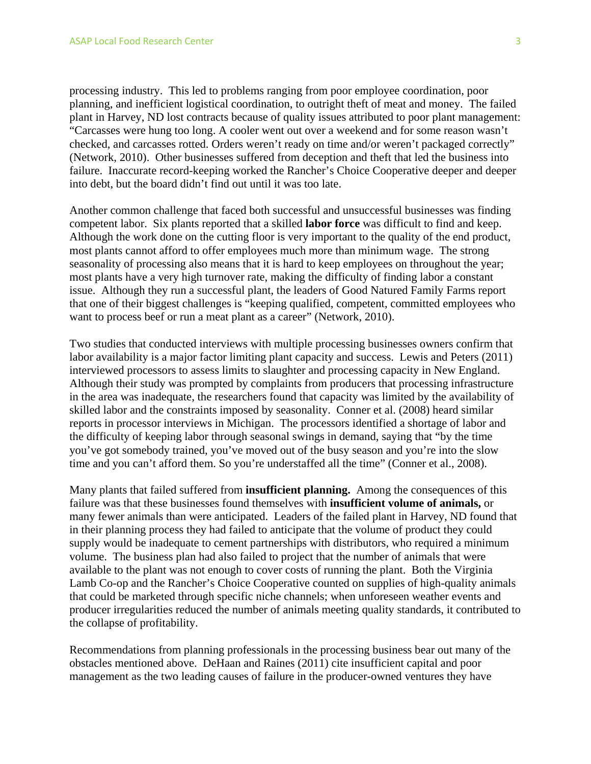processing industry. This led to problems ranging from poor employee coordination, poor planning, and inefficient logistical coordination, to outright theft of meat and money. The failed plant in Harvey, ND lost contracts because of quality issues attributed to poor plant management: "Carcasses were hung too long. A cooler went out over a weekend and for some reason wasn't checked, and carcasses rotted. Orders weren't ready on time and/or weren't packaged correctly" (Network, 2010). Other businesses suffered from deception and theft that led the business into failure. Inaccurate record-keeping worked the Rancher's Choice Cooperative deeper and deeper into debt, but the board didn't find out until it was too late.

Another common challenge that faced both successful and unsuccessful businesses was finding competent labor. Six plants reported that a skilled **labor force** was difficult to find and keep. Although the work done on the cutting floor is very important to the quality of the end product, most plants cannot afford to offer employees much more than minimum wage. The strong seasonality of processing also means that it is hard to keep employees on throughout the year; most plants have a very high turnover rate, making the difficulty of finding labor a constant issue. Although they run a successful plant, the leaders of Good Natured Family Farms report that one of their biggest challenges is "keeping qualified, competent, committed employees who want to process beef or run a meat plant as a career" (Network, 2010).

Two studies that conducted interviews with multiple processing businesses owners confirm that labor availability is a major factor limiting plant capacity and success. Lewis and Peters (2011) interviewed processors to assess limits to slaughter and processing capacity in New England. Although their study was prompted by complaints from producers that processing infrastructure in the area was inadequate, the researchers found that capacity was limited by the availability of skilled labor and the constraints imposed by seasonality. Conner et al. (2008) heard similar reports in processor interviews in Michigan. The processors identified a shortage of labor and the difficulty of keeping labor through seasonal swings in demand, saying that "by the time you've got somebody trained, you've moved out of the busy season and you're into the slow time and you can't afford them. So you're understaffed all the time" (Conner et al., 2008).

Many plants that failed suffered from **insufficient planning.** Among the consequences of this failure was that these businesses found themselves with **insufficient volume of animals,** or many fewer animals than were anticipated. Leaders of the failed plant in Harvey, ND found that in their planning process they had failed to anticipate that the volume of product they could supply would be inadequate to cement partnerships with distributors, who required a minimum volume. The business plan had also failed to project that the number of animals that were available to the plant was not enough to cover costs of running the plant. Both the Virginia Lamb Co-op and the Rancher's Choice Cooperative counted on supplies of high-quality animals that could be marketed through specific niche channels; when unforeseen weather events and producer irregularities reduced the number of animals meeting quality standards, it contributed to the collapse of profitability.

Recommendations from planning professionals in the processing business bear out many of the obstacles mentioned above. DeHaan and Raines (2011) cite insufficient capital and poor management as the two leading causes of failure in the producer-owned ventures they have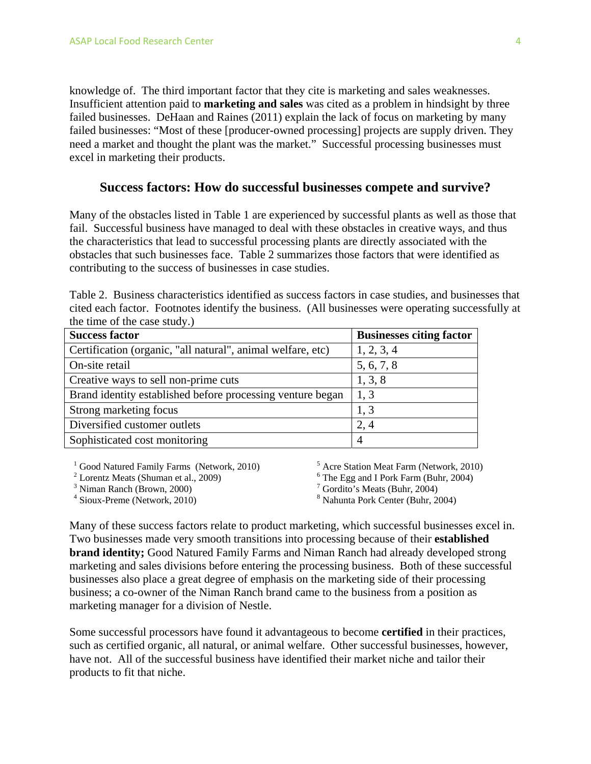knowledge of. The third important factor that they cite is marketing and sales weaknesses. Insufficient attention paid to **marketing and sales** was cited as a problem in hindsight by three failed businesses. DeHaan and Raines (2011) explain the lack of focus on marketing by many failed businesses: "Most of these [producer-owned processing] projects are supply driven. They need a market and thought the plant was the market." Successful processing businesses must excel in marketing their products.

## **Success factors: How do successful businesses compete and survive?**

Many of the obstacles listed in Table 1 are experienced by successful plants as well as those that fail. Successful business have managed to deal with these obstacles in creative ways, and thus the characteristics that lead to successful processing plants are directly associated with the obstacles that such businesses face. Table 2 summarizes those factors that were identified as contributing to the success of businesses in case studies.

|  |                              | Table 2. Business characteristics identified as success factors in case studies, and businesses that |  |  |
|--|------------------------------|------------------------------------------------------------------------------------------------------|--|--|
|  |                              | cited each factor. Footnotes identify the business. (All businesses were operating successfully at   |  |  |
|  | the time of the case study.) |                                                                                                      |  |  |

| <b>Success factor</b>                                       | <b>Businesses citing factor</b> |
|-------------------------------------------------------------|---------------------------------|
| Certification (organic, "all natural", animal welfare, etc) | 1, 2, 3, 4                      |
| On-site retail                                              | 5, 6, 7, 8                      |
| Creative ways to sell non-prime cuts                        | 1, 3, 8                         |
| Brand identity established before processing venture began  | 1, 3                            |
| Strong marketing focus                                      | 1, 3                            |
| Diversified customer outlets                                | 2, 4                            |
| Sophisticated cost monitoring                               | 4                               |

<sup>1</sup> Good Natured Family Farms (Network, 2010)

<sup>2</sup> Lorentz Meats (Shuman et al., 2009)

<sup>3</sup> Niman Ranch (Brown, 2000)

4 Sioux-Preme (Network, 2010)

 Acre Station Meat Farm (Network, 2010) The Egg and I Pork Farm (Buhr, 2004) Gordito's Meats (Buhr, 2004) Nahunta Pork Center (Buhr, 2004)

Many of these success factors relate to product marketing, which successful businesses excel in. Two businesses made very smooth transitions into processing because of their **established brand identity;** Good Natured Family Farms and Niman Ranch had already developed strong marketing and sales divisions before entering the processing business. Both of these successful businesses also place a great degree of emphasis on the marketing side of their processing business; a co-owner of the Niman Ranch brand came to the business from a position as marketing manager for a division of Nestle.

Some successful processors have found it advantageous to become **certified** in their practices, such as certified organic, all natural, or animal welfare. Other successful businesses, however, have not. All of the successful business have identified their market niche and tailor their products to fit that niche.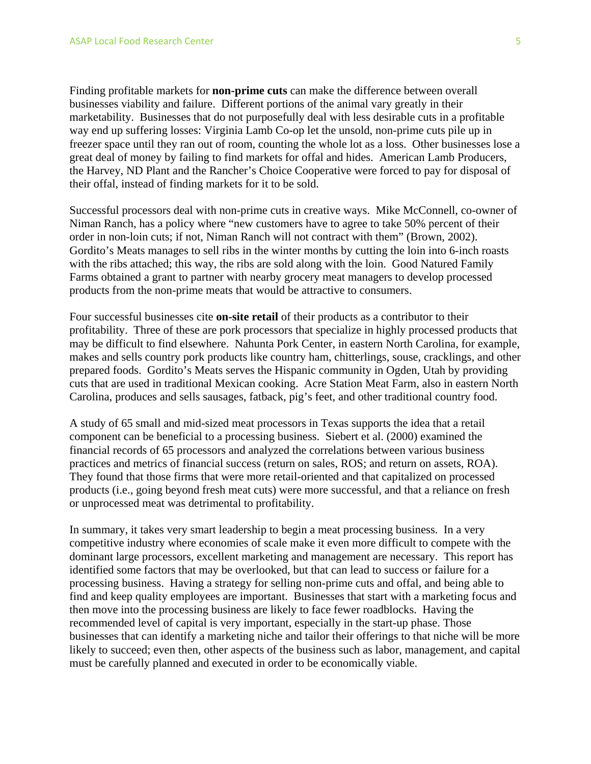Finding profitable markets for **non-prime cuts** can make the difference between overall businesses viability and failure. Different portions of the animal vary greatly in their marketability. Businesses that do not purposefully deal with less desirable cuts in a profitable way end up suffering losses: Virginia Lamb Co-op let the unsold, non-prime cuts pile up in freezer space until they ran out of room, counting the whole lot as a loss. Other businesses lose a great deal of money by failing to find markets for offal and hides. American Lamb Producers, the Harvey, ND Plant and the Rancher's Choice Cooperative were forced to pay for disposal of their offal, instead of finding markets for it to be sold.

Successful processors deal with non-prime cuts in creative ways. Mike McConnell, co-owner of Niman Ranch, has a policy where "new customers have to agree to take 50% percent of their order in non-loin cuts; if not, Niman Ranch will not contract with them" (Brown, 2002). Gordito's Meats manages to sell ribs in the winter months by cutting the loin into 6-inch roasts with the ribs attached; this way, the ribs are sold along with the loin. Good Natured Family Farms obtained a grant to partner with nearby grocery meat managers to develop processed products from the non-prime meats that would be attractive to consumers.

Four successful businesses cite **on-site retail** of their products as a contributor to their profitability. Three of these are pork processors that specialize in highly processed products that may be difficult to find elsewhere. Nahunta Pork Center, in eastern North Carolina, for example, makes and sells country pork products like country ham, chitterlings, souse, cracklings, and other prepared foods. Gordito's Meats serves the Hispanic community in Ogden, Utah by providing cuts that are used in traditional Mexican cooking. Acre Station Meat Farm, also in eastern North Carolina, produces and sells sausages, fatback, pig's feet, and other traditional country food.

A study of 65 small and mid-sized meat processors in Texas supports the idea that a retail component can be beneficial to a processing business. Siebert et al. (2000) examined the financial records of 65 processors and analyzed the correlations between various business practices and metrics of financial success (return on sales, ROS; and return on assets, ROA). They found that those firms that were more retail-oriented and that capitalized on processed products (i.e., going beyond fresh meat cuts) were more successful, and that a reliance on fresh or unprocessed meat was detrimental to profitability.

In summary, it takes very smart leadership to begin a meat processing business. In a very competitive industry where economies of scale make it even more difficult to compete with the dominant large processors, excellent marketing and management are necessary. This report has identified some factors that may be overlooked, but that can lead to success or failure for a processing business. Having a strategy for selling non-prime cuts and offal, and being able to find and keep quality employees are important. Businesses that start with a marketing focus and then move into the processing business are likely to face fewer roadblocks. Having the recommended level of capital is very important, especially in the start-up phase. Those businesses that can identify a marketing niche and tailor their offerings to that niche will be more likely to succeed; even then, other aspects of the business such as labor, management, and capital must be carefully planned and executed in order to be economically viable.